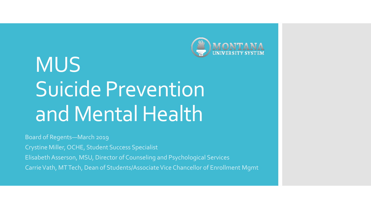

## MUS Suicide Prevention and Mental Health

Board of Regents—March 2019

Crystine Miller, OCHE, Student Success Specialist

Elisabeth Asserson, MSU, Director of Counseling and Psychological Services

Carrie Vath, MT Tech, Dean of Students/Associate Vice Chancellor of Enrollment Mgmt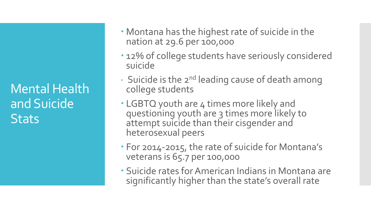Mental Health and Suicide **Stats** 

- Montana has the highest rate of suicide in the nation at 29.6 per 100,000
- 12% of college students have seriously considered suicide
- $\cdot$  Suicide is the 2<sup>nd</sup> leading cause of death among college students
- LGBTQ youth are 4 times more likely and questioning youth are 3 times more likely to attempt suicide than their cisgender and heterosexual peers
- For 2014-2015, the rate of suicide for Montana's veterans is 65.7 per 100,000
- Suicide rates for American Indians in Montana are significantly higher than the state's overall rate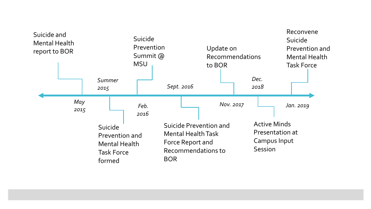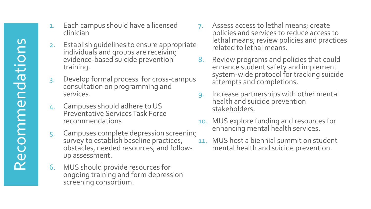- 1. Each campus should have a licensed clinician
- 2. Establish guidelines to ensure appropriate individuals and groups are receiving evidence-based suicide prevention training.
- 3. Develop formal process for cross-campus consultation on programming and services.
- 4. Campuses should adhere to US Preventative Services Task Force recommendations
- 5. Campuses complete depression screening survey to establish baseline practices, obstacles, needed resources, and followup assessment.
- 6. MUS should provide resources for ongoing training and form depression screening consortium.
- 7. Assess access to lethal means; create policies and services to reduce access to lethal means; review policies and practices related to lethal means.
- 8. Review programs and policies that could enhance student safety and implement system-wide protocol for tracking suicide attempts and completions.
- 9. Increase partnerships with other mental health and suicide prevention stakeholders.
- 10. MUS explore funding and resources for enhancing mental health services.
- 11. MUS host a biennial summit on student mental health and suicide prevention.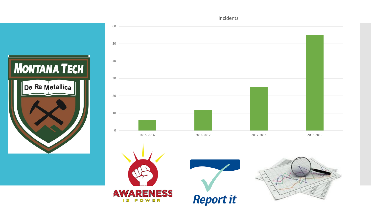



## Incidents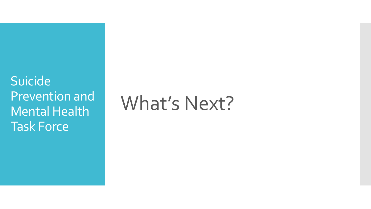Suicide Prevention and Mental Health Task Force

## What's Next?